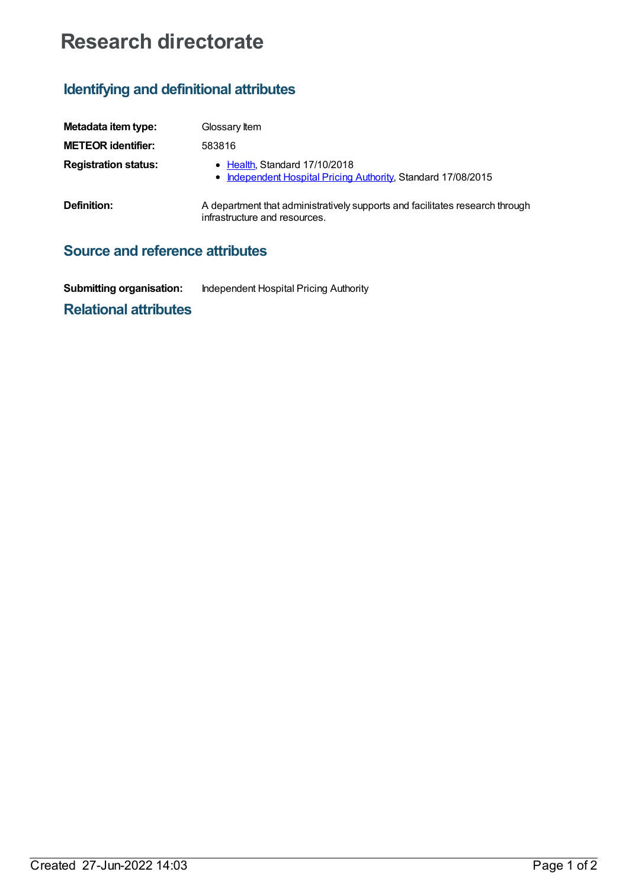# **Research directorate**

## **Identifying and definitional attributes**

| Metadata item type:         | Glossary Item                                                                                                 |
|-----------------------------|---------------------------------------------------------------------------------------------------------------|
| <b>METEOR identifier:</b>   | 583816                                                                                                        |
| <b>Registration status:</b> | • Health, Standard 17/10/2018<br>• Independent Hospital Pricing Authority, Standard 17/08/2015                |
| Definition:                 | A department that administratively supports and facilitates research through<br>infrastructure and resources. |

### **Source and reference attributes**

| <b>Submitting organisation:</b> | Independent Hospital Pricing Authority |
|---------------------------------|----------------------------------------|
|                                 |                                        |

#### **Relational attributes**